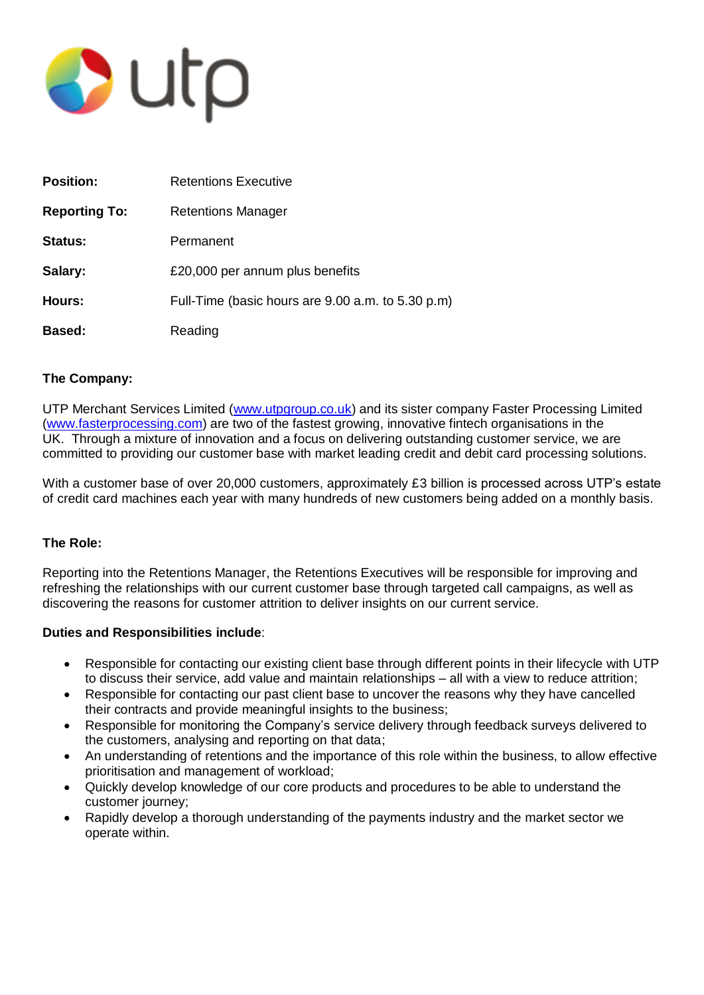

| <b>Position:</b>     | <b>Retentions Executive</b>                       |
|----------------------|---------------------------------------------------|
| <b>Reporting To:</b> | <b>Retentions Manager</b>                         |
| <b>Status:</b>       | Permanent                                         |
| Salary:              | £20,000 per annum plus benefits                   |
| Hours:               | Full-Time (basic hours are 9.00 a.m. to 5.30 p.m) |
| Based:               | Reading                                           |

# **The Company:**

UTP Merchant Services Limited [\(www.utpgroup.co.uk\)](http://www.utpgroup.co.uk/) and its sister company Faster Processing Limited [\(www.fasterprocessing.com\)](http://www.fasterprocessing.com/) are two of the fastest growing, innovative fintech organisations in the UK. Through a mixture of innovation and a focus on delivering outstanding customer service, we are committed to providing our customer base with market leading credit and debit card processing solutions.

With a customer base of over 20,000 customers, approximately £3 billion is processed across UTP's estate of credit card machines each year with many hundreds of new customers being added on a monthly basis.

# **The Role:**

Reporting into the Retentions Manager, the Retentions Executives will be responsible for improving and refreshing the relationships with our current customer base through targeted call campaigns, as well as discovering the reasons for customer attrition to deliver insights on our current service.

# **Duties and Responsibilities include**:

- Responsible for contacting our existing client base through different points in their lifecycle with UTP to discuss their service, add value and maintain relationships – all with a view to reduce attrition;
- Responsible for contacting our past client base to uncover the reasons why they have cancelled their contracts and provide meaningful insights to the business;
- Responsible for monitoring the Company's service delivery through feedback surveys delivered to the customers, analysing and reporting on that data;
- An understanding of retentions and the importance of this role within the business, to allow effective prioritisation and management of workload;
- Quickly develop knowledge of our core products and procedures to be able to understand the customer journey;
- Rapidly develop a thorough understanding of the payments industry and the market sector we operate within.